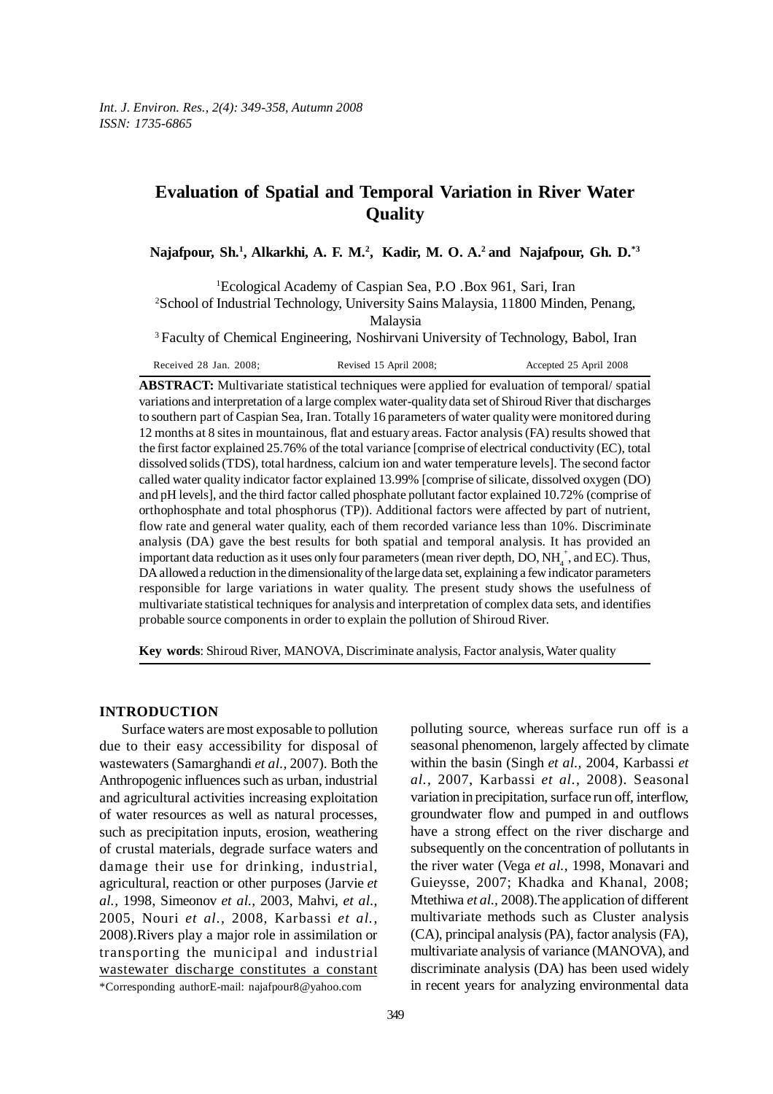# **Evaluation of Spatial and Temporal Variation in River Water Quality**

Najafpour, Sh.<sup>1</sup>, Alkarkhi, A. F. M.<sup>2</sup>, Kadir, M. O. A.<sup>2</sup> and Najafpour, Gh. D.<sup>\*3</sup>

1 Ecological Academy of Caspian Sea, P.O .Box 961, Sari, Iran 2 School of Industrial Technology, University Sains Malaysia, 11800 Minden, Penang, Malaysia

3 Faculty of Chemical Engineering, Noshirvani University of Technology, Babol, Iran

Received 28 Jan. 2008; Revised 15 April 2008; Accepted 25 April 2008

**ABSTRACT:** Multivariate statistical techniques were applied for evaluation of temporal/ spatial variations and interpretation of a large complex water-quality data set of Shiroud River that discharges to southern part of Caspian Sea, Iran. Totally 16 parameters of water quality were monitored during 12 months at 8 sites in mountainous, flat and estuary areas. Factor analysis (FA) results showed that the first factor explained 25.76% of the total variance [comprise of electrical conductivity (EC), total dissolved solids (TDS), total hardness, calcium ion and water temperature levels]. The second factor called water quality indicator factor explained 13.99% [comprise of silicate, dissolved oxygen (DO) and pH levels], and the third factor called phosphate pollutant factor explained 10.72% (comprise of orthophosphate and total phosphorus (TP)). Additional factors were affected by part of nutrient, flow rate and general water quality, each of them recorded variance less than 10%. Discriminate analysis (DA) gave the best results for both spatial and temporal analysis. It has provided an important data reduction as it uses only four parameters (mean river depth, DO, NH $_4^+$ , and EC). Thus, DA allowed a reduction in the dimensionality of the large data set, explaining a few indicator parameters responsible for large variations in water quality. The present study shows the usefulness of multivariate statistical techniques for analysis and interpretation of complex data sets, and identifies probable source components in order to explain the pollution of Shiroud River.

**Key words**: Shiroud River, MANOVA, Discriminate analysis, Factor analysis, Water quality

## **INTRODUCTION**

Surface waters are most exposable to pollution due to their easy accessibility for disposal of wastewaters (Samarghandi *et al.,* 2007). Both the Anthropogenic influences such as urban, industrial and agricultural activities increasing exploitation of water resources as well as natural processes, such as precipitation inputs, erosion, weathering of crustal materials, degrade surface waters and damage their use for drinking, industrial, agricultural, reaction or other purposes (Jarvie *et al.,* 1998, Simeonov *et al.,* 2003, Mahvi, *et al.,* 2005, Nouri *et al.,* 2008, Karbassi *et al.,* 2008).Rivers play a major role in assimilation or transporting the municipal and industrial wastewater discharge constitutes a constant polluting source, whereas surface run off is a seasonal phenomenon, largely affected by climate within the basin (Singh *et al.,* 2004, Karbassi *et al.,* 2007, Karbassi *et al.,* 2008). Seasonal variation in precipitation, surface run off, interflow, groundwater flow and pumped in and outflows have a strong effect on the river discharge and subsequently on the concentration of pollutants in the river water (Vega *et al.,* 1998, Monavari and Guieysse, 2007; Khadka and Khanal, 2008; Mtethiwa *et al.,* 2008).The application of different multivariate methods such as Cluster analysis (CA), principal analysis (PA), factor analysis (FA), multivariate analysis of variance (MANOVA), and discriminate analysis (DA) has been used widely in recent years for analyzing environmental data

<sup>\*</sup>Corresponding authorE-mail: najafpour8@yahoo.com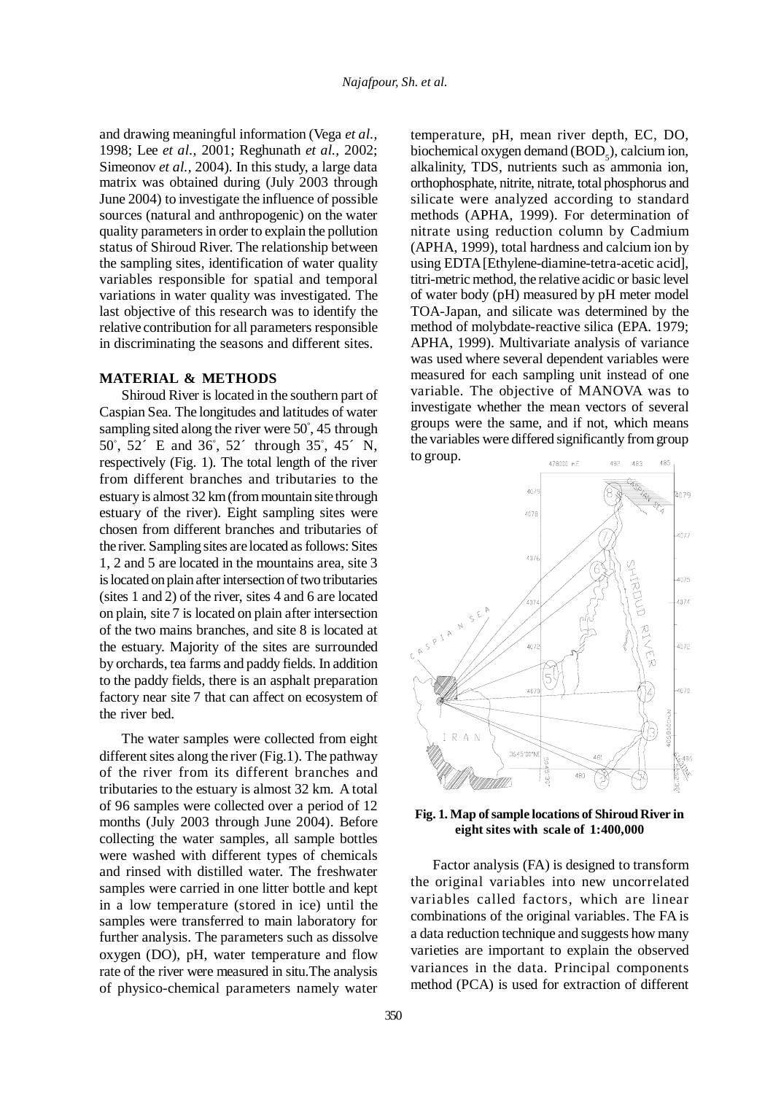and drawing meaningful information (Vega *et al.,* 1998; Lee *et al.,* 2001; Reghunath *et al.,* 2002; Simeonov *et al.,* 2004). In this study, a large data matrix was obtained during (July 2003 through June 2004) to investigate the influence of possible sources (natural and anthropogenic) on the water quality parameters in order to explain the pollution status of Shiroud River. The relationship between the sampling sites, identification of water quality variables responsible for spatial and temporal variations in water quality was investigated. The last objective of this research was to identify the relative contribution for all parameters responsible in discriminating the seasons and different sites.

### **MATERIAL & METHODS**

Shiroud River is located in the southern part of Caspian Sea. The longitudes and latitudes of water sampling sited along the river were 50º , 45 through 50º , 52´ E and 36º , 52´ through 35º , 45´ N, respectively (Fig. 1). The total length of the river from different branches and tributaries to the estuary is almost 32 km (from mountain site through estuary of the river). Eight sampling sites were chosen from different branches and tributaries of the river. Sampling sites are located as follows: Sites 1, 2 and 5 are located in the mountains area, site 3 is located on plain after intersection of two tributaries (sites 1 and 2) of the river, sites 4 and 6 are located on plain, site 7 is located on plain after intersection of the two mains branches, and site 8 is located at the estuary. Majority of the sites are surrounded by orchards, tea farms and paddy fields. In addition to the paddy fields, there is an asphalt preparation factory near site 7 that can affect on ecosystem of the river bed.

The water samples were collected from eight different sites along the river (Fig.1). The pathway of the river from its different branches and tributaries to the estuary is almost 32 km. A total of 96 samples were collected over a period of 12 months (July 2003 through June 2004). Before collecting the water samples, all sample bottles were washed with different types of chemicals and rinsed with distilled water. The freshwater samples were carried in one litter bottle and kept in a low temperature (stored in ice) until the samples were transferred to main laboratory for further analysis. The parameters such as dissolve oxygen (DO), pH, water temperature and flow rate of the river were measured in situ.The analysis of physico-chemical parameters namely water

temperature, pH, mean river depth, EC, DO, biochemical oxygen demand  $(BOD<sub>5</sub>)$ , calcium ion, alkalinity, TDS, nutrients such as ammonia ion, orthophosphate, nitrite, nitrate, total phosphorus and silicate were analyzed according to standard methods (APHA, 1999). For determination of nitrate using reduction column by Cadmium (APHA, 1999), total hardness and calcium ion by using EDTA [Ethylene-diamine-tetra-acetic acid], titri-metric method, the relative acidic or basic level of water body (pH) measured by pH meter model TOA-Japan, and silicate was determined by the method of molybdate-reactive silica (EPA. 1979; APHA, 1999). Multivariate analysis of variance was used where several dependent variables were measured for each sampling unit instead of one variable. The objective of MANOVA was to investigate whether the mean vectors of several groups were the same, and if not, which means the variables were differed significantly from group



**Fig. 1. Map of sample locations of Shiroud River in eight sites with scale of 1:400,000**

Factor analysis (FA) is designed to transform the original variables into new uncorrelated variables called factors, which are linear combinations of the original variables. The FA is a data reduction technique and suggests how many varieties are important to explain the observed variances in the data. Principal components method (PCA) is used for extraction of different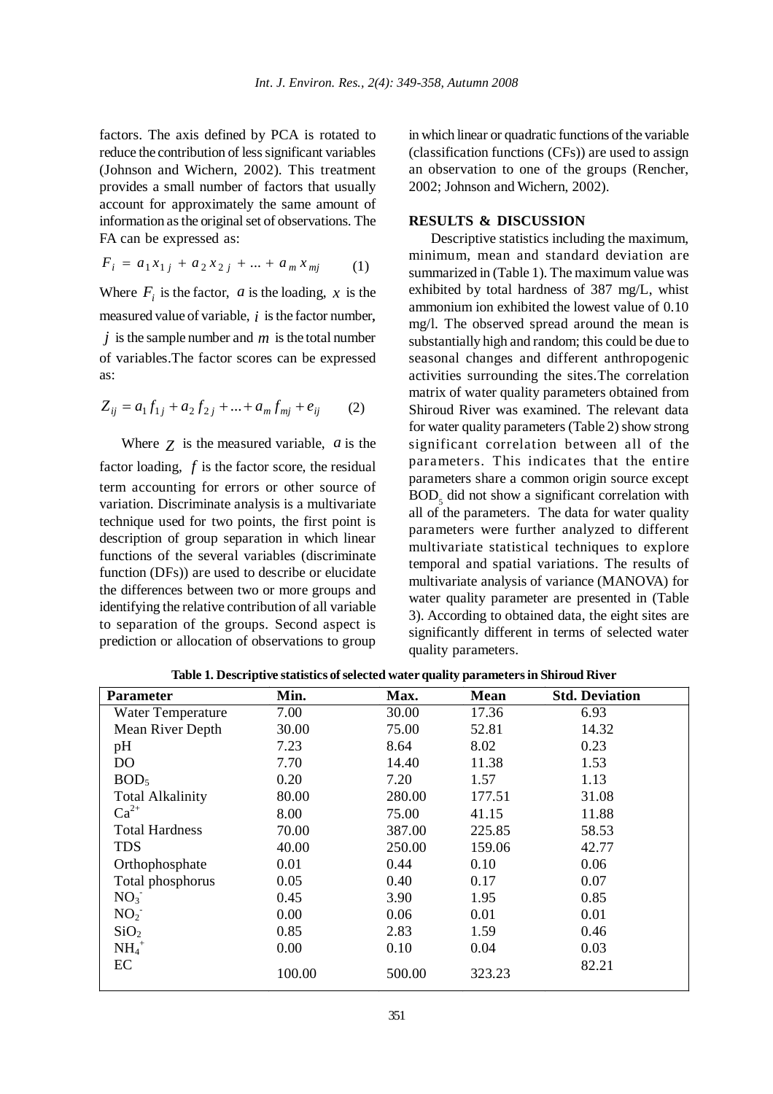factors. The axis defined by PCA is rotated to reduce the contribution of less significant variables (Johnson and Wichern, 2002). This treatment provides a small number of factors that usually account for approximately the same amount of information as the original set of observations. The FA can be expressed as:

$$
F_i = a_1 x_{1j} + a_2 x_{2j} + \dots + a_m x_{mj} \tag{1}
$$

Where  $F_i$  is the factor,  $a$  is the loading,  $x$  is the measured value of variable, *i* is the factor number, *j* is the sample number and *m* is the total number of variables.The factor scores can be expressed as:

$$
Z_{ij} = a_1 f_{1j} + a_2 f_{2j} + \dots + a_m f_{mj} + e_{ij}
$$
 (2)

Where *Z* is the measured variable, *a* is the factor loading, *f* is the factor score, the residual term accounting for errors or other source of variation. Discriminate analysis is a multivariate technique used for two points, the first point is description of group separation in which linear functions of the several variables (discriminate function (DFs)) are used to describe or elucidate the differences between two or more groups and identifying the relative contribution of all variable to separation of the groups. Second aspect is prediction or allocation of observations to group in which linear or quadratic functions of the variable (classification functions (CFs)) are used to assign an observation to one of the groups (Rencher, 2002; Johnson and Wichern, 2002).

# **RESULTS & DISCUSSION**

Descriptive statistics including the maximum, minimum, mean and standard deviation are summarized in (Table 1). The maximum value was exhibited by total hardness of 387 mg/L, whist ammonium ion exhibited the lowest value of 0.10 mg/l. The observed spread around the mean is substantially high and random; this could be due to seasonal changes and different anthropogenic activities surrounding the sites.The correlation matrix of water quality parameters obtained from Shiroud River was examined. The relevant data for water quality parameters (Table 2) show strong significant correlation between all of the parameters. This indicates that the entire parameters share a common origin source except  $BOD<sub>5</sub>$  did not show a significant correlation with all of the parameters. The data for water quality parameters were further analyzed to different multivariate statistical techniques to explore temporal and spatial variations. The results of multivariate analysis of variance (MANOVA) for water quality parameter are presented in (Table 3). According to obtained data, the eight sites are significantly different in terms of selected water quality parameters.

| <b>Parameter</b>        | Min.   | Max.   | <b>Mean</b> | <b>Std. Deviation</b> |
|-------------------------|--------|--------|-------------|-----------------------|
| Water Temperature       | 7.00   | 30.00  | 17.36       | 6.93                  |
| Mean River Depth        | 30.00  | 75.00  | 52.81       | 14.32                 |
| pH                      | 7.23   | 8.64   | 8.02        | 0.23                  |
| D <sub>O</sub>          | 7.70   | 14.40  | 11.38       | 1.53                  |
| BOD <sub>5</sub>        | 0.20   | 7.20   | 1.57        | 1.13                  |
| <b>Total Alkalinity</b> | 80.00  | 280.00 | 177.51      | 31.08                 |
| $Ca^{2+}$               | 8.00   | 75.00  | 41.15       | 11.88                 |
| <b>Total Hardness</b>   | 70.00  | 387.00 | 225.85      | 58.53                 |
| <b>TDS</b>              | 40.00  | 250.00 | 159.06      | 42.77                 |
| Orthophosphate          | 0.01   | 0.44   | 0.10        | 0.06                  |
| Total phosphorus        | 0.05   | 0.40   | 0.17        | 0.07                  |
| NO <sub>3</sub>         | 0.45   | 3.90   | 1.95        | 0.85                  |
| NO <sub>2</sub>         | 0.00   | 0.06   | 0.01        | 0.01                  |
| SiO <sub>2</sub>        | 0.85   | 2.83   | 1.59        | 0.46                  |
| $NH_4^+$                | 0.00   | 0.10   | 0.04        | 0.03                  |
| EC                      | 100.00 | 500.00 | 323.23      | 82.21                 |

**Table 1. Descriptive statistics of selected water quality parameters in Shiroud River**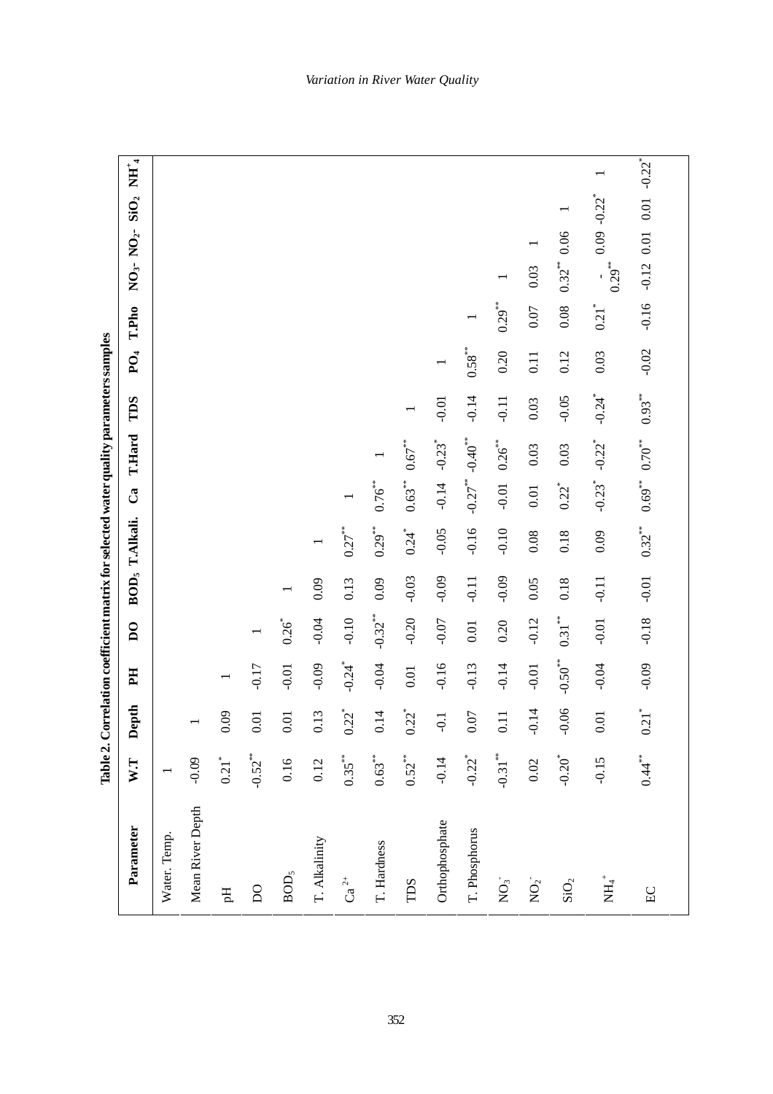| ľ<br>ľ      |
|-------------|
| i<br>1<br>ı |
|             |
| i           |
| I           |
| .<br>E      |

| Parameter                | $W$ .T               | Jepth<br>$\blacksquare$ | H                     | $\overline{D}$      |         | BOD <sub>5</sub> T.Alkali. | $\mathbf{C}^{\mathbf{a}}$ | <b>T.Hard</b>         | TDS                  | $PQ_4$    | T.Pho               | $NO3$ - $NO2$ -     | $\mathbf{SiO}_2$           | $\overline{\text{NH}}_{4}^{+}$ |
|--------------------------|----------------------|-------------------------|-----------------------|---------------------|---------|----------------------------|---------------------------|-----------------------|----------------------|-----------|---------------------|---------------------|----------------------------|--------------------------------|
| Water. Temp.             |                      |                         |                       |                     |         |                            |                           |                       |                      |           |                     |                     |                            |                                |
| Mean River Depth         | $-0.09$              |                         |                       |                     |         |                            |                           |                       |                      |           |                     |                     |                            |                                |
| Eq                       | $0.21$ <sup>*</sup>  | 0.09                    |                       |                     |         |                            |                           |                       |                      |           |                     |                     |                            |                                |
| $\overline{D}$           | $-0.52$ **           | $0.01\,$                | $-0.17$               |                     |         |                            |                           |                       |                      |           |                     |                     |                            |                                |
| $\mathrm{BOD}_5$         | 0.16                 | 0.01                    | $-0.01$               | $0.26$ <sup>*</sup> |         |                            |                           |                       |                      |           |                     |                     |                            |                                |
| T. Alkalinity            | 0.12                 | 0.13                    | $-0.09$               | $-0.04$             | 0.09    |                            |                           |                       |                      |           |                     |                     |                            |                                |
| $Ca2+$                   | $0.35***$            | $0.22^{*}$              | $-0.24$ <sup>*</sup>  | $-0.10$             | 0.13    | $0.27***$                  |                           |                       |                      |           |                     |                     |                            |                                |
| T. Hardness              | $0.63***$            | 0.14                    | $-0.04$               | $-0.32***$          | 0.09    | $0.29***$                  | $0.76$ **                 |                       |                      |           |                     |                     |                            |                                |
| TDS                      | $0.52***$            | $0.22^{*}$              | $0.01\,$              | $-0.20$             | $-0.03$ | $0.24$ <sup>*</sup>        | $0.63***$                 | $0.67***$             |                      |           |                     |                     |                            |                                |
| Orthophosphate           | $-0.14$              | $-0.1$                  | $-0.16$               | $-0.07$             | $-0.09$ | $-0.05$                    | $-0.14$                   | $-0.23$ <sup>*</sup>  | $-0.01$              |           |                     |                     |                            |                                |
| T. Phosphorus            | $-0.22$ <sup>*</sup> | $0.07$                  | $-0.13$               | $0.01\,$            | $-0.11$ | $-0.16$                    | $-0.27$ <sup>**</sup>     | $-0.40**$             | $-0.14$              | $0.58***$ |                     |                     |                            |                                |
| $\sum$                   | $-0.31***$           | 0.11                    | $-0.14$               | 0.20                | $-0.09$ | $-0.10$                    | $-0.01$                   | $0.26$ <sup>***</sup> | $-0.11$              | 0.20      | $0.29***$           |                     |                            |                                |
| $\rm{NO_2^-}$            | 0.02                 | $-0.14$                 | $-0.01$               | $-0.12$             | 0.05    | 0.08                       | $0.01$                    | 0.03                  | 0.03                 | 0.11      | $0.07$              | 0.03                |                            |                                |
| $\mathrm{SiO}_2$         | $-0.20$ <sup>*</sup> | 0.06                    | $-0.50$ <sup>**</sup> | $0.31***$           | 0.18    | 0.18                       | $0.22^{*}$                | 0.03                  | $-0.05$              | 0.12      | 0.08                | 0.06<br>$0.32***$   |                            |                                |
| $\rm \stackrel{+}{H1}^+$ | $-0.15$              | 0.01                    | $-0.04$               | $-0.01$             | $-0.11$ | 0.09                       | $-0.23$ <sup>*</sup>      | $-0.22$ <sup>*</sup>  | $-0.24$ <sup>*</sup> | $0.03\,$  | $0.21$ <sup>*</sup> | $0.29***$           | $0.09 - 0.22$ <sup>*</sup> |                                |
| EC                       | $0.44$ <sup>**</sup> | $0.21$ <sup>*</sup>     | $-0.09$               | $-0.18$             | $-0.01$ | $0.32***$                  | $0.69**$                  | $0.70^{***}$          | $0.93***$            | $-0.02$   | $-0.16$             | $0.01\,$<br>$-0.12$ | 0.01                       | $-0.22$ <sup>*</sup>           |
|                          |                      |                         |                       |                     |         |                            |                           |                       |                      |           |                     |                     |                            |                                |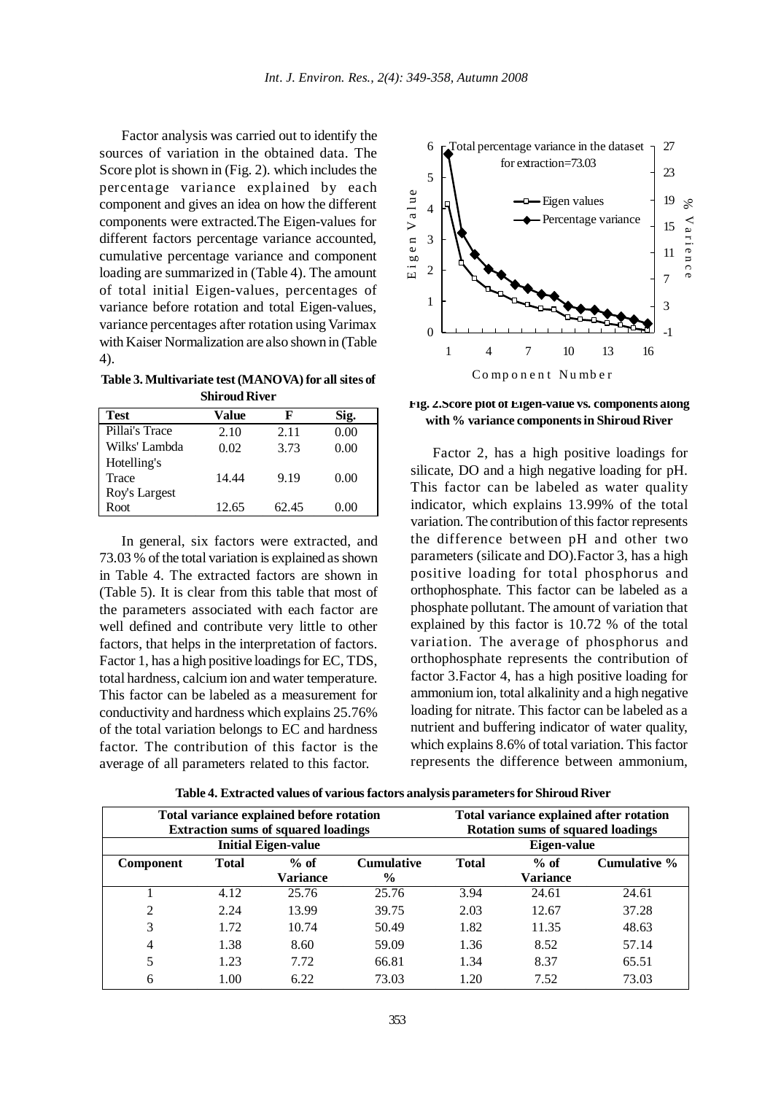Factor analysis was carried out to identify the sources of variation in the obtained data. The Score plot is shown in (Fig. 2). which includes the percentage variance explained by each component and gives an idea on how the different components were extracted.The Eigen-values for different factors percentage variance accounted, cumulative percentage variance and component loading are summarized in (Table 4). The amount of total initial Eigen-values, percentages of variance before rotation and total Eigen-values, variance percentages after rotation using Varimax with Kaiser Normalization are also shown in (Table 4).

**Table 3. Multivariate test (MANOVA) for all sites of Shiroud River**

| <b>Test</b>    | Value | F     | Sig. |
|----------------|-------|-------|------|
| Pillai's Trace | 2.10  | 2.11  | 0.00 |
| Wilks' Lambda  | 0.02  | 3.73  | 0.00 |
| Hotelling's    |       |       |      |
| Trace          | 14.44 | 9.19  | 0.00 |
| Roy's Largest  |       |       |      |
| Root           | 12.65 | 62.45 | 0.00 |

In general, six factors were extracted, and 73.03 % of the total variation is explained as shown in Table 4. The extracted factors are shown in (Table 5). It is clear from this table that most of the parameters associated with each factor are well defined and contribute very little to other factors, that helps in the interpretation of factors. Factor 1, has a high positive loadings for EC, TDS, total hardness, calcium ion and water temperature. This factor can be labeled as a measurement for conductivity and hardness which explains 25.76% of the total variation belongs to EC and hardness factor. The contribution of this factor is the average of all parameters related to this factor.



**Fig. 2.Score plot of Eigen-value vs. components along with % variance components in Shiroud River**

Factor 2, has a high positive loadings for silicate, DO and a high negative loading for pH. This factor can be labeled as water quality indicator, which explains 13.99% of the total variation. The contribution of this factor represents the difference between pH and other two parameters (silicate and DO).Factor 3, has a high positive loading for total phosphorus and orthophosphate. This factor can be labeled as a phosphate pollutant. The amount of variation that explained by this factor is 10.72 % of the total variation. The average of phosphorus and orthophosphate represents the contribution of factor 3.Factor 4, has a high positive loading for ammonium ion, total alkalinity and a high negative loading for nitrate. This factor can be labeled as a nutrient and buffering indicator of water quality, which explains 8.6% of total variation. This factor represents the difference between ammonium,

| Table 4. Extracted values of various factors analysis parameters for Shiroud River |  |  |  |
|------------------------------------------------------------------------------------|--|--|--|
|------------------------------------------------------------------------------------|--|--|--|

|           |              | Total variance explained before rotation<br><b>Extraction sums of squared loadings</b> |                                    |              | <b>Rotation sums of squared loadings</b> | Total variance explained after rotation |
|-----------|--------------|----------------------------------------------------------------------------------------|------------------------------------|--------------|------------------------------------------|-----------------------------------------|
|           |              | <b>Initial Eigen-value</b>                                                             |                                    |              | Eigen-value                              |                                         |
| Component | <b>Total</b> | $%$ of<br><b>Variance</b>                                                              | <b>Cumulative</b><br>$\frac{0}{0}$ | <b>Total</b> | $%$ of<br><b>Variance</b>                | Cumulative %                            |
|           | 4.12         | 25.76                                                                                  | 25.76                              | 3.94         | 24.61                                    | 24.61                                   |
| 2         | 2.24         | 13.99                                                                                  | 39.75                              | 2.03         | 12.67                                    | 37.28                                   |
| 3         | 1.72         | 10.74                                                                                  | 50.49                              | 1.82         | 11.35                                    | 48.63                                   |
| 4         | 1.38         | 8.60                                                                                   | 59.09                              | 1.36         | 8.52                                     | 57.14                                   |
| 5         | 1.23         | 7.72                                                                                   | 66.81                              | 1.34         | 8.37                                     | 65.51                                   |
| 6         | 1.00         | 6.22                                                                                   | 73.03                              | 1.20         | 7.52                                     | 73.03                                   |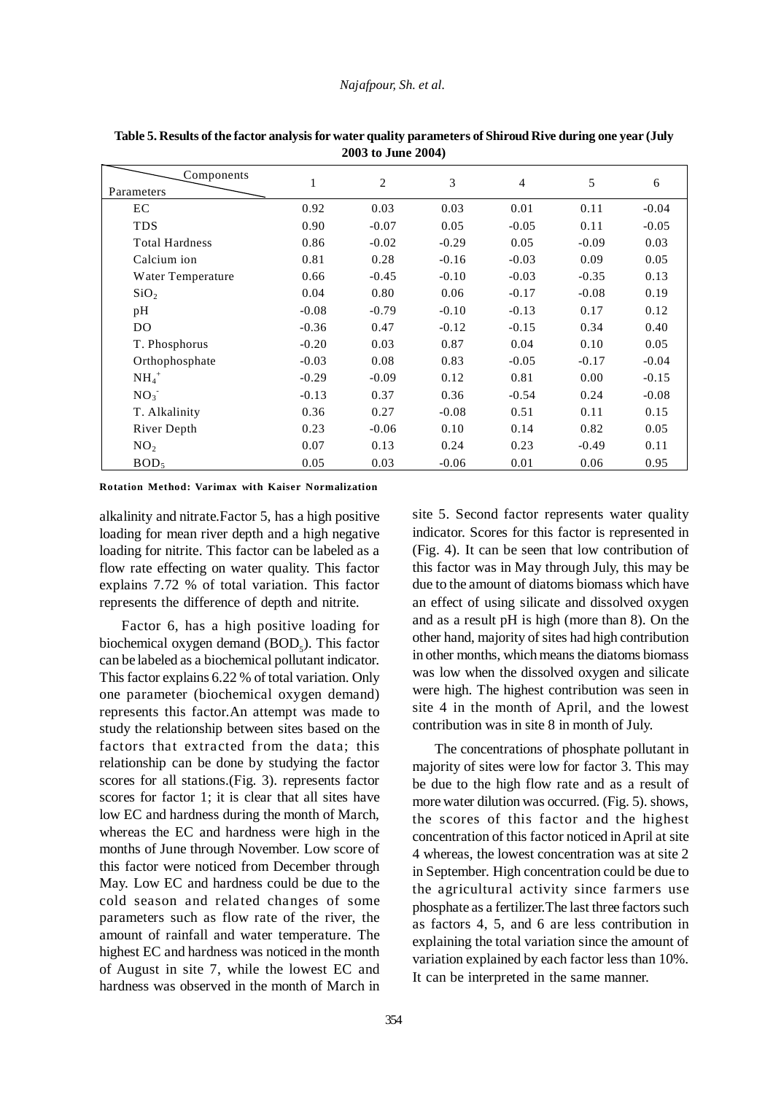| Components<br>Parameters | $\mathbf{1}$ | $\overline{2}$ | 3       | $\overline{4}$ | 5       | 6       |
|--------------------------|--------------|----------------|---------|----------------|---------|---------|
| EC                       | 0.92         | 0.03           | 0.03    | 0.01           | 0.11    | $-0.04$ |
| <b>TDS</b>               | 0.90         | $-0.07$        | 0.05    | $-0.05$        | 0.11    | $-0.05$ |
| <b>Total Hardness</b>    | 0.86         | $-0.02$        | $-0.29$ | 0.05           | $-0.09$ | 0.03    |
| Calcium ion              | 0.81         | 0.28           | $-0.16$ | $-0.03$        | 0.09    | 0.05    |
| Water Temperature        | 0.66         | $-0.45$        | $-0.10$ | $-0.03$        | $-0.35$ | 0.13    |
| SiO <sub>2</sub>         | 0.04         | 0.80           | 0.06    | $-0.17$        | $-0.08$ | 0.19    |
| pH                       | $-0.08$      | $-0.79$        | $-0.10$ | $-0.13$        | 0.17    | 0.12    |
| D <sub>O</sub>           | $-0.36$      | 0.47           | $-0.12$ | $-0.15$        | 0.34    | 0.40    |
| T. Phosphorus            | $-0.20$      | 0.03           | 0.87    | 0.04           | 0.10    | 0.05    |
| Orthophosphate           | $-0.03$      | 0.08           | 0.83    | $-0.05$        | $-0.17$ | $-0.04$ |
| $NH_4$ <sup>+</sup>      | $-0.29$      | $-0.09$        | 0.12    | 0.81           | 0.00    | $-0.15$ |
| NO <sub>3</sub>          | $-0.13$      | 0.37           | 0.36    | $-0.54$        | 0.24    | $-0.08$ |
| T. Alkalinity            | 0.36         | 0.27           | $-0.08$ | 0.51           | 0.11    | 0.15    |
| River Depth              | 0.23         | $-0.06$        | 0.10    | 0.14           | 0.82    | 0.05    |
| NO <sub>2</sub>          | 0.07         | 0.13           | 0.24    | 0.23           | $-0.49$ | 0.11    |
| BOD <sub>5</sub>         | 0.05         | 0.03           | $-0.06$ | 0.01           | 0.06    | 0.95    |

**Table 5. Results of the factor analysis for water quality parameters of Shiroud Rive during one year (July 2003 to June 2004)**

**Rotation Method: Varimax with Kaiser Normalization**

alkalinity and nitrate.Factor 5, has a high positive loading for mean river depth and a high negative loading for nitrite. This factor can be labeled as a flow rate effecting on water quality. This factor explains 7.72 % of total variation. This factor represents the difference of depth and nitrite.

Factor 6, has a high positive loading for biochemical oxygen demand  $(BOD<sub>5</sub>)$ . This factor can be labeled as a biochemical pollutant indicator. This factor explains 6.22 % of total variation. Only one parameter (biochemical oxygen demand) represents this factor.An attempt was made to study the relationship between sites based on the factors that extracted from the data; this relationship can be done by studying the factor scores for all stations.(Fig. 3). represents factor scores for factor 1; it is clear that all sites have low EC and hardness during the month of March, whereas the EC and hardness were high in the months of June through November. Low score of this factor were noticed from December through May. Low EC and hardness could be due to the cold season and related changes of some parameters such as flow rate of the river, the amount of rainfall and water temperature. The highest EC and hardness was noticed in the month of August in site 7, while the lowest EC and hardness was observed in the month of March in site 5. Second factor represents water quality indicator. Scores for this factor is represented in (Fig. 4). It can be seen that low contribution of this factor was in May through July, this may be due to the amount of diatoms biomass which have an effect of using silicate and dissolved oxygen and as a result pH is high (more than 8). On the other hand, majority of sites had high contribution in other months, which means the diatoms biomass was low when the dissolved oxygen and silicate were high. The highest contribution was seen in site 4 in the month of April, and the lowest contribution was in site 8 in month of July.

The concentrations of phosphate pollutant in majority of sites were low for factor 3. This may be due to the high flow rate and as a result of more water dilution was occurred. (Fig. 5). shows, the scores of this factor and the highest concentration of this factor noticed in April at site 4 whereas, the lowest concentration was at site 2 in September. High concentration could be due to the agricultural activity since farmers use phosphate as a fertilizer.The last three factors such as factors 4, 5, and 6 are less contribution in explaining the total variation since the amount of variation explained by each factor less than 10%. It can be interpreted in the same manner.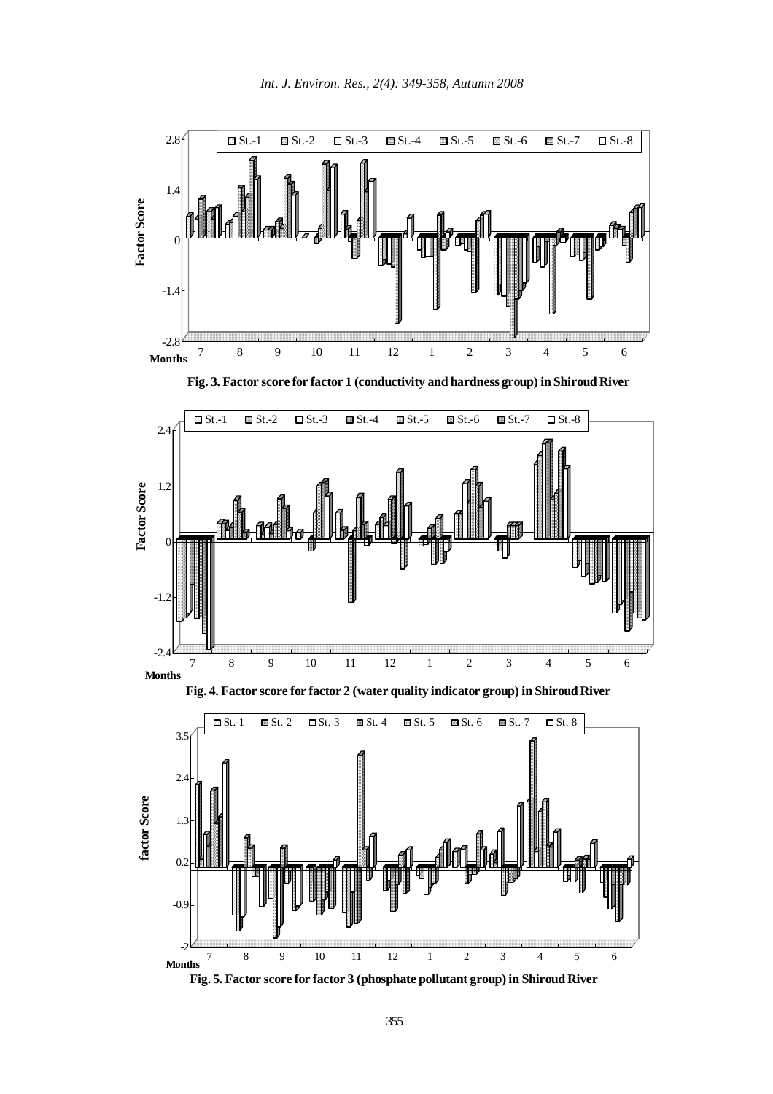

**Fig. 3. Factor score for factor 1 (conductivity and hardness group) in Shiroud River**







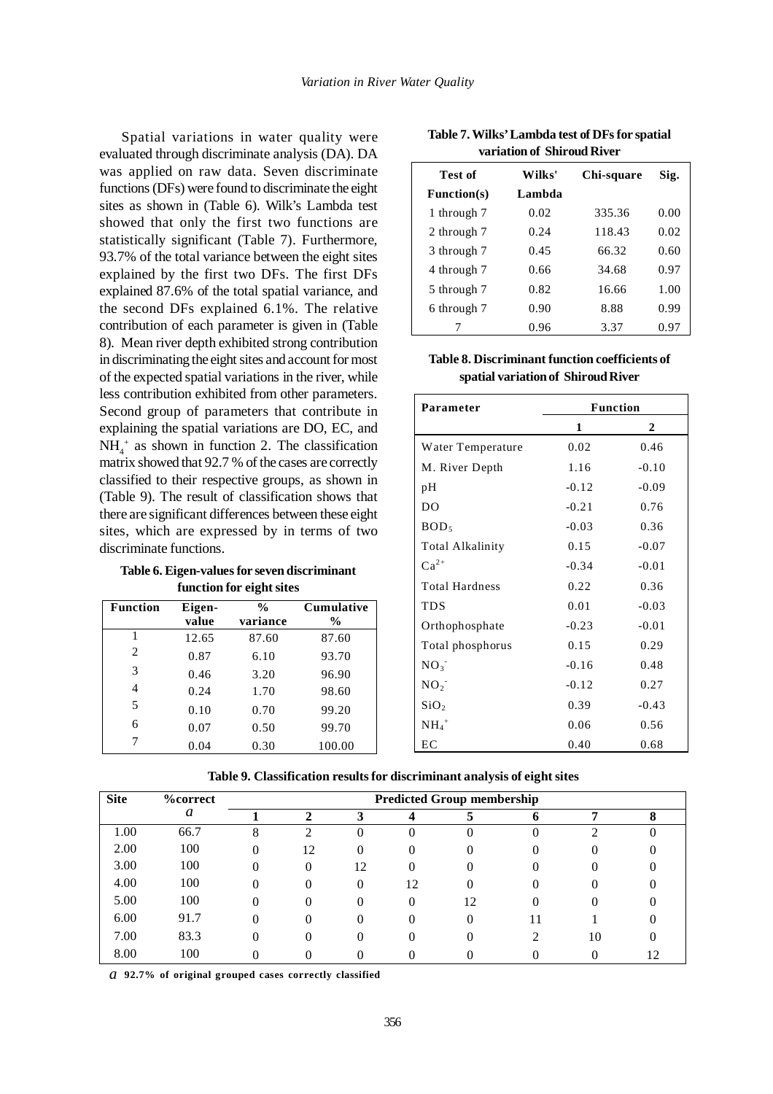Spatial variations in water quality were evaluated through discriminate analysis (DA). DA was applied on raw data. Seven discriminate functions (DFs) were found to discriminate the eight sites as shown in (Table 6). Wilk's Lambda test showed that only the first two functions are statistically significant (Table 7). Furthermore, 93.7% of the total variance between the eight sites explained by the first two DFs. The first DFs explained 87.6% of the total spatial variance, and the second DFs explained 6.1%. The relative contribution of each parameter is given in (Table 8). Mean river depth exhibited strong contribution in discriminating the eight sites and account for most of the expected spatial variations in the river, while less contribution exhibited from other parameters. Second group of parameters that contribute in explaining the spatial variations are DO, EC, and  $NH<sub>4</sub>$ <sup>+</sup> as shown in function 2. The classification matrix showed that 92.7 % of the cases are correctly classified to their respective groups, as shown in (Table 9). The result of classification shows that there are significant differences between these eight sites, which are expressed by in terms of two discriminate functions.

**Table 6. Eigen-values for seven discriminant function for eight sites**

| <b>Function</b> | Eigen- | $\frac{0}{0}$ | <b>Cumulative</b> |
|-----------------|--------|---------------|-------------------|
|                 | value  | variance      | $\frac{6}{9}$     |
|                 | 12.65  | 87.60         | 87.60             |
| 2               | 0.87   | 6.10          | 93.70             |
| 3               | 0.46   | 3.20          | 96.90             |
| $\overline{4}$  | 0.24   | 1.70          | 98.60             |
| 5               | 0.10   | 0.70          | 99.20             |
| 6               | 0.07   | 0.50          | 99.70             |
| 7               | 0.04   | 0.30          | 100.00            |

**Table 7. Wilks' Lambda test of DFs for spatial variation of Shiroud River**

| Test of     | Wilks' | Chi-square | Sig. |
|-------------|--------|------------|------|
| Function(s) | Lambda |            |      |
| 1 through 7 | 0.02   | 335.36     | 0.00 |
| 2 through 7 | 0.24   | 118.43     | 0.02 |
| 3 through 7 | 0.45   | 66.32      | 0.60 |
| 4 through 7 | 0.66   | 34.68      | 0.97 |
| 5 through 7 | 0.82   | 16.66      | 1.00 |
| 6 through 7 | 0.90   | 8.88       | 0.99 |
|             | 0.96   | 3.37       | 0.97 |

**Table 8. Discriminant function coefficients of spatial variation of Shiroud River**

| Parameter             |         | <b>Function</b> |
|-----------------------|---------|-----------------|
|                       | 1       | 2               |
| Water Temperature     | 0.02    | 0.46            |
| M. River Depth        | 1.16    | $-0.10$         |
| pH                    | $-0.12$ | $-0.09$         |
| DO                    | $-0.21$ | 0.76            |
| BOD <sub>5</sub>      | $-0.03$ | 0.36            |
| Total Alkalinity      | 0.15    | $-0.07$         |
| $Ca^{2+}$             | $-0.34$ | $-0.01$         |
| <b>Total Hardness</b> | 0.22    | 0.36            |
| <b>TDS</b>            | 0.01    | $-0.03$         |
| Orthophosphate        | $-0.23$ | $-0.01$         |
| Total phosphorus      | 0.15    | 0.29            |
| NO <sub>3</sub>       | $-0.16$ | 0.48            |
| NO <sub>2</sub>       | $-0.12$ | 0.27            |
| SiO <sub>2</sub>      | 0.39    | $-0.43$         |
| $NH_4$ <sup>+</sup>   | 0.06    | 0.56            |
| EС                    | 0.40    | 0.68            |

|  | Table 9. Classification results for discriminant analysis of eight sites |  |  |  |  |
|--|--------------------------------------------------------------------------|--|--|--|--|
|--|--------------------------------------------------------------------------|--|--|--|--|

| <b>Site</b> | <b>%correct</b> |          |          |          |    | <b>Predicted Group membership</b> |   |    |   |
|-------------|-----------------|----------|----------|----------|----|-----------------------------------|---|----|---|
|             | a               |          |          |          |    |                                   |   |    | Ω |
| 1.00        | 66.7            | 8        | ◠        |          |    |                                   |   |    |   |
| 2.00        | 100             | $_{0}$   | 12       |          | 0  |                                   |   |    |   |
| 3.00        | 100             | 0        | $\Omega$ | 12       | 0  |                                   | 0 |    |   |
| 4.00        | 100             |          |          |          | 12 |                                   |   |    |   |
| 5.00        | 100             | $^{(1)}$ |          | $\Omega$ |    | 12                                |   |    |   |
| 6.00        | 91.7            | 0        |          |          |    |                                   |   |    |   |
| 7.00        | 83.3            |          |          |          |    |                                   |   | 10 |   |
| 8.00        | 100             |          |          |          |    |                                   |   |    |   |

*a* **92.7% of original grouped cases correctly classified**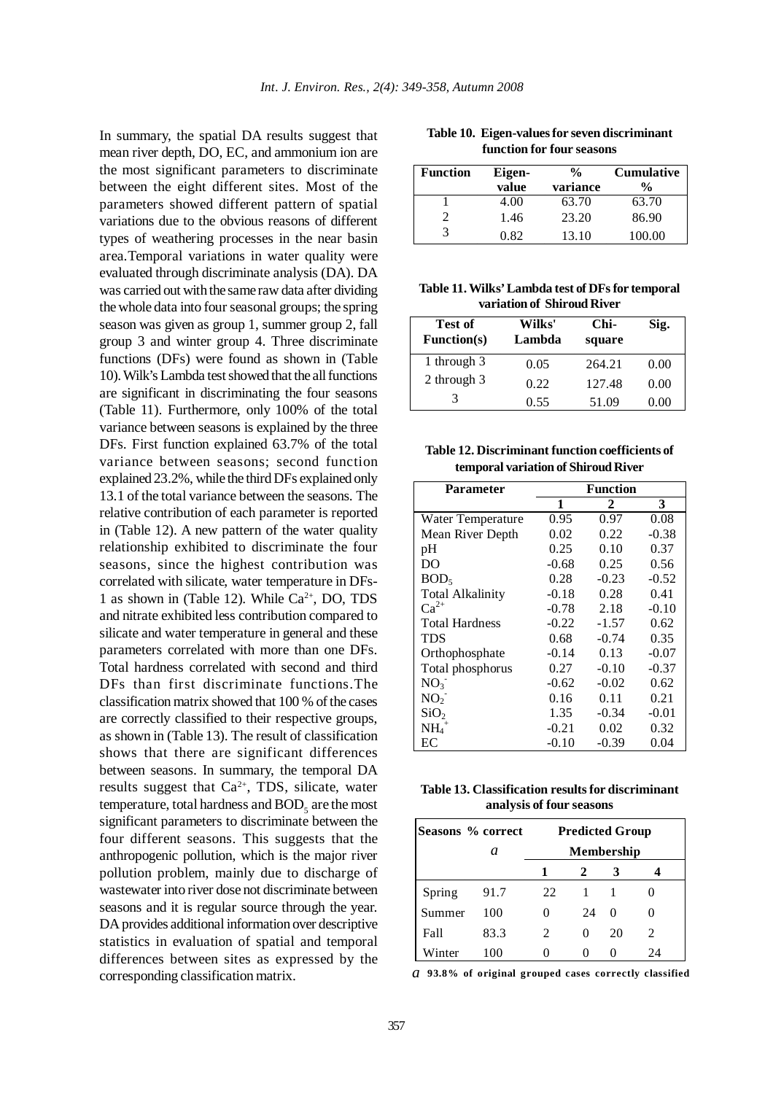In summary, the spatial DA results suggest that mean river depth, DO, EC, and ammonium ion are the most significant parameters to discriminate between the eight different sites. Most of the parameters showed different pattern of spatial variations due to the obvious reasons of different types of weathering processes in the near basin area.Temporal variations in water quality were evaluated through discriminate analysis (DA). DA was carried out with the same raw data after dividing the whole data into four seasonal groups; the spring season was given as group 1, summer group 2, fall group 3 and winter group 4. Three discriminate functions (DFs) were found as shown in (Table 10). Wilk's Lambda test showed that the all functions are significant in discriminating the four seasons (Table 11). Furthermore, only 100% of the total variance between seasons is explained by the three DFs. First function explained 63.7% of the total variance between seasons; second function explained 23.2%, while the third DFs explained only 13.1 of the total variance between the seasons. The relative contribution of each parameter is reported in (Table 12). A new pattern of the water quality relationship exhibited to discriminate the four seasons, since the highest contribution was correlated with silicate, water temperature in DFs-1 as shown in (Table 12). While  $Ca^{2+}$ , DO, TDS and nitrate exhibited less contribution compared to silicate and water temperature in general and these parameters correlated with more than one DFs. Total hardness correlated with second and third DFs than first discriminate functions.The classification matrix showed that 100 % of the cases are correctly classified to their respective groups, as shown in (Table 13). The result of classification shows that there are significant differences between seasons. In summary, the temporal DA results suggest that Ca<sup>2+</sup>, TDS, silicate, water temperature, total hardness and  $\mathrm{BOD}_5^+$  are the most significant parameters to discriminate between the four different seasons. This suggests that the anthropogenic pollution, which is the major river pollution problem, mainly due to discharge of wastewater into river dose not discriminate between seasons and it is regular source through the year. DA provides additional information over descriptive statistics in evaluation of spatial and temporal differences between sites as expressed by the corresponding classification matrix.

| Table 10. Eigen-values for seven discriminant |
|-----------------------------------------------|
| function for four seasons                     |

| <b>Function</b> | Eigen-<br>value | $\frac{0}{0}$<br>variance | <b>Cumulative</b><br>$\frac{0}{0}$ |
|-----------------|-----------------|---------------------------|------------------------------------|
|                 | 4.00            | 63.70                     | 63.70                              |
|                 | 1.46            | 23.20                     | 86.90                              |
|                 | 0.82            | 13.10                     | 100.00                             |

**Table 11. Wilks' Lambda test of DFs for temporal variation of Shiroud River**

| Test of<br><b>Function(s)</b> | Wilks'<br>Lambda | Chi-<br>square | Sig. |
|-------------------------------|------------------|----------------|------|
| 1 through 3                   | 0.05             | 264.21         | 0.00 |
| 2 through 3                   | 0.22             | 127.48         | 0.00 |
|                               | 0.55             | 51.09          | .00  |

**Table 12. Discriminant function coefficients of temporal variation of Shiroud River**

| Parameter               | Function |         |         |  |
|-------------------------|----------|---------|---------|--|
|                         | 1        | 2       | 3       |  |
| Water Temperature       | 0.95     | 0.97    | 0.08    |  |
| Mean River Depth        | 0.02     | 0.22    | $-0.38$ |  |
| pH                      | 0.25     | 0.10    | 0.37    |  |
| DO                      | $-0.68$  | 0.25    | 0.56    |  |
| BOD <sub>5</sub>        | 0.28     | $-0.23$ | $-0.52$ |  |
| <b>Total Alkalinity</b> | $-0.18$  | 0.28    | 0.41    |  |
| $Ca^{2+}$               | $-0.78$  | 2.18    | $-0.10$ |  |
| Total Hardness          | $-0.22$  | $-1.57$ | 0.62    |  |
| TDS                     | 0.68     | $-0.74$ | 0.35    |  |
| Orthophosphate          | $-0.14$  | 0.13    | $-0.07$ |  |
| Total phosphorus        | 0.27     | $-0.10$ | $-0.37$ |  |
| NO <sub>3</sub>         | $-0.62$  | $-0.02$ | 0.62    |  |
| NO <sub>2</sub>         | 0.16     | 0.11    | 0.21    |  |
| SiO <sub>2</sub>        | 1.35     | $-0.34$ | $-0.01$ |  |
| $NH_4$ <sup>+</sup>     | $-0.21$  | 0.02    | 0.32    |  |
| EС                      | $-0.10$  | $-0.39$ | 0.04    |  |

**Table 13. Classification results for discriminant analysis of four seasons**

| Seasons % correct |      | <b>Predicted Group</b> |                   |    |     |
|-------------------|------|------------------------|-------------------|----|-----|
|                   | a    |                        | <b>Membership</b> |    |     |
|                   |      |                        | 2                 |    |     |
| Spring            | 91.7 | 22                     |                   |    |     |
| Summer            | 100  | 0                      | 24                | 0  |     |
| Fall              | 83.3 | $\mathfrak{D}$         | 0                 | 20 | 2   |
| Winter            | 100  |                        |                   |    | ) Д |

*a* **93.8% of original grouped cases correctly classified**